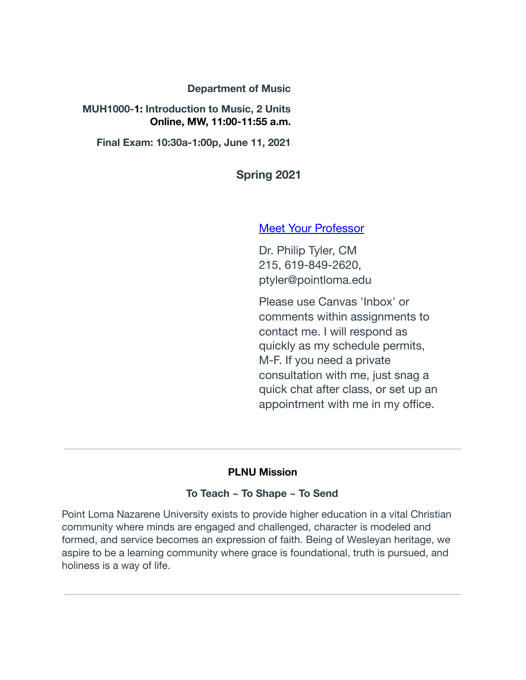#### **Department of Music**

#### **MUH1000- 1: Introduction to Music, 2 Units Online, MW, 11:00-11:55 a.m.**

**Final Exam: 10:30a-1:00p, June 11, 2021** 

**Spring 2021** 

#### [Meet Your Professor](https://canvas.pointloma.edu/courses/55378/pages/meet-your-professor)

Dr. Philip Tyler, CM 215, 619-849-2620, ptyler@pointloma.edu

Please use Canvas 'Inbox' or comments within assignments to contact me. I will respond as quickly as my schedule permits, M-F. If you need a private consultation with me, just snag a quick chat after class, or set up an appointment with me in my office.

#### **PLNU Mission**

#### **To Teach ~ To Shape ~ To Send**

Point Loma Nazarene University exists to provide higher education in a vital Christian community where minds are engaged and challenged, character is modeled and formed, and service becomes an expression of faith. Being of Wesleyan heritage, we aspire to be a learning community where grace is foundational, truth is pursued, and holiness is a way of life.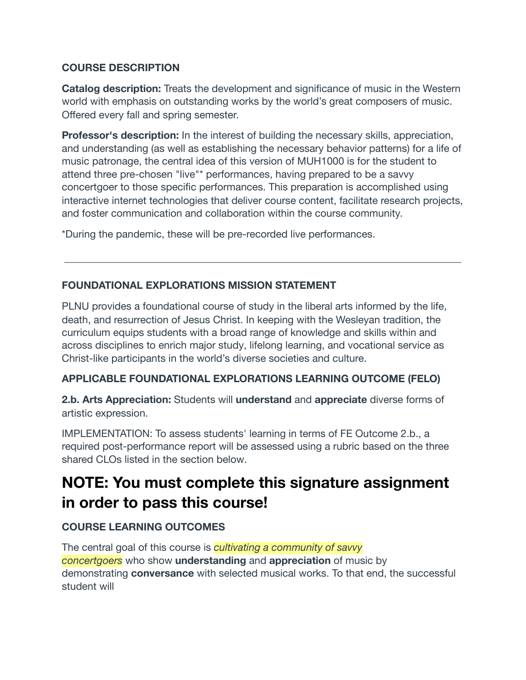## **COURSE DESCRIPTION**

**Catalog description:** Treats the development and significance of music in the Western world with emphasis on outstanding works by the world's great composers of music. Offered every fall and spring semester.

**Professor's description:** In the interest of building the necessary skills, appreciation, and understanding (as well as establishing the necessary behavior patterns) for a life of music patronage, the central idea of this version of MUH1000 is for the student to attend three pre-chosen "live"\* performances, having prepared to be a savvy concertgoer to those specific performances. This preparation is accomplished using interactive internet technologies that deliver course content, facilitate research projects, and foster communication and collaboration within the course community.

\*During the pandemic, these will be pre-recorded live performances.

## **FOUNDATIONAL EXPLORATIONS MISSION STATEMENT**

PLNU provides a foundational course of study in the liberal arts informed by the life, death, and resurrection of Jesus Christ. In keeping with the Wesleyan tradition, the curriculum equips students with a broad range of knowledge and skills within and across disciplines to enrich major study, lifelong learning, and vocational service as Christ-like participants in the world's diverse societies and culture.

# **APPLICABLE FOUNDATIONAL EXPLORATIONS LEARNING OUTCOME (FELO)**

**2.b. Arts Appreciation:** Students will  **understand**  and **appreciate**  diverse forms of artistic expression.

IMPLEMENTATION: To assess students' learning in terms of FE Outcome 2.b., a required post-performance report will be assessed using a rubric based on the three shared CLOs listed in the section below.

# **NOTE: You must complete this signature assignment in order to pass this course!**

# **COURSE LEARNING OUTCOMES**

The central goal of this course is *cultivating a community of savvy concertgoers*  who show **understanding**  and **appreciation**  of music by demonstrating **conversance**  with selected musical works. To that end, the successful student will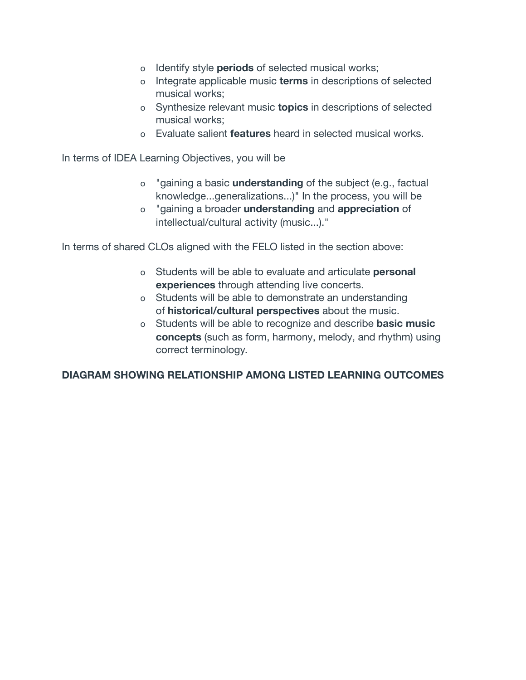- o Identify style **periods**  of selected musical works;
- o Integrate applicable music **terms**  in descriptions of selected musical works;
- o Synthesize relevant music **topics**  in descriptions of selected musical works;
- o Evaluate salient **features**  heard in selected musical works.

In terms of IDEA Learning Objectives, you will be

- o "gaining a basic **understanding**  of the subject (e.g., factual knowledge...generalizations...)" In the process, you will be
- o "gaining a broader **understanding**  and **appreciation**  of intellectual/cultural activity (music...)."

In terms of shared CLOs aligned with the FELO listed in the section above:

- o Students will be able to evaluate and articulate **personal experiences**  through attending live concerts.
- o Students will be able to demonstrate an understanding of **historical/cultural perspectives**  about the music.
- o Students will be able to recognize and describe **basic music concepts** (such as form, harmony, melody, and rhythm) using correct terminology.

## **DIAGRAM SHOWING RELATIONSHIP AMONG LISTED LEARNING OUTCOMES**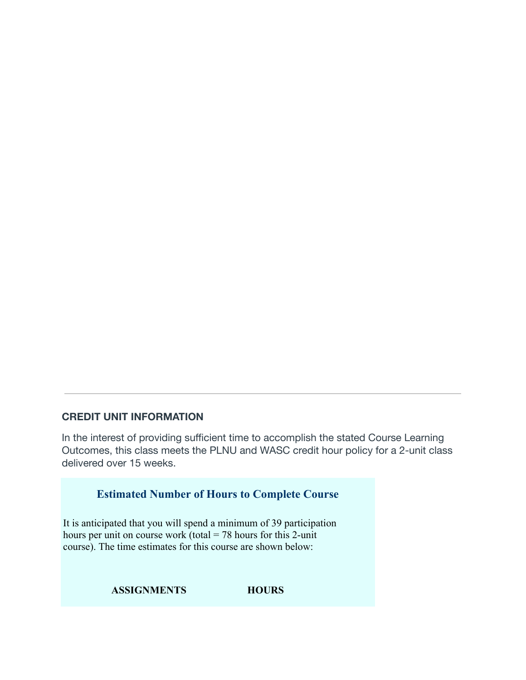## **CREDIT UNIT INFORMATION**

In the interest of providing sufficient time to accomplish the stated Course Learning Outcomes, this class meets the PLNU and WASC credit hour policy for a 2-unit class delivered over 15 weeks.

| <b>Estimated Number of Hours to Complete Course</b>                                                                                                                                                      |  |
|----------------------------------------------------------------------------------------------------------------------------------------------------------------------------------------------------------|--|
| It is anticipated that you will spend a minimum of 39 participation<br>hours per unit on course work (total $= 78$ hours for this 2-unit<br>course). The time estimates for this course are shown below: |  |

**ASSIGNMENTS HOURS**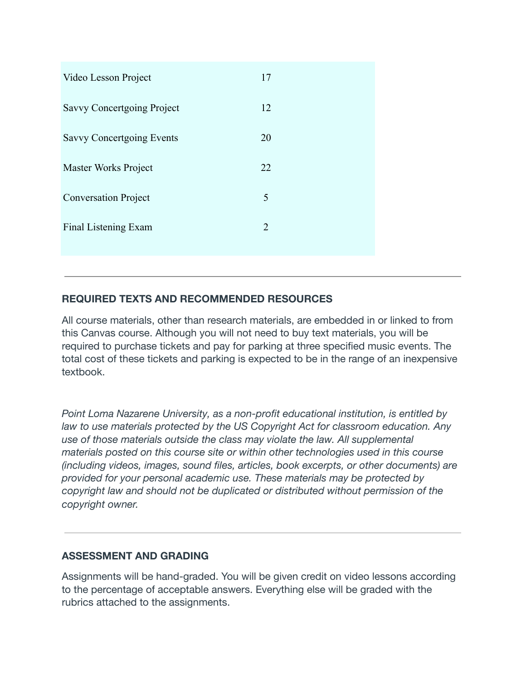| Video Lesson Project              | 17             |
|-----------------------------------|----------------|
| <b>Savvy Concertgoing Project</b> | 12             |
| Savvy Concertgoing Events         | 20             |
| Master Works Project              | 22             |
| <b>Conversation Project</b>       | 5              |
| Final Listening Exam              | $\overline{2}$ |
|                                   |                |

# **REQUIRED TEXTS AND RECOMMENDED RESOURCES**

All course materials, other than research materials, are embedded in or linked to from this Canvas course. Although you will not need to buy text materials, you will be required to purchase tickets and pay for parking at three specified music events. The total cost of these tickets and parking is expected to be in the range of an inexpensive textbook.

*Point Loma Nazarene University, as a non-profit educational institution, is entitled by law to use materials protected by the US Copyright Act for classroom education. Any use of those materials outside the class may violate the law. All supplemental materials posted on this course site or within other technologies used in this course (including videos, images, sound files, articles, book excerpts, or other documents) are provided for your personal academic use. These materials may be protected by copyright law and should not be duplicated or distributed without permission of the copyright owner.* 

# **ASSESSMENT AND GRADING**

Assignments will be hand-graded. You will be given credit on video lessons according to the percentage of acceptable answers. Everything else will be graded with the rubrics attached to the assignments.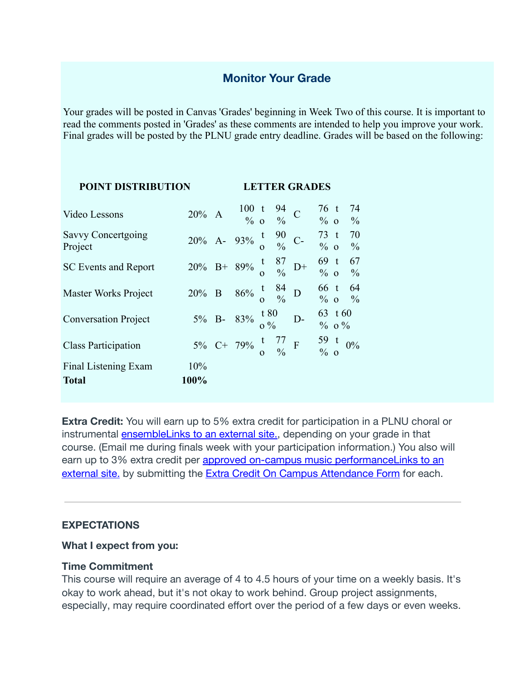# **Monitor Your Grade**

Your grades will be posted in Canvas 'Grades' beginning in Week Two of this course. It is important to read the comments posted in 'Grades' as these comments are intended to help you improve your work. Final grades will be posted by the PLNU grade entry deadline. Grades will be based on the following:

| <b>POINT DISTRIBUTION</b>            |             | <b>LETTER GRADES</b> |                                                                                                    |  |                                         |
|--------------------------------------|-------------|----------------------|----------------------------------------------------------------------------------------------------|--|-----------------------------------------|
| Video Lessons                        |             |                      | 20% A $\begin{array}{cc} 100 \text{ t} & 94 \\ \frac{9}{6} & \text{o} & \frac{9}{6} \end{array}$ C |  | $76$ t<br>74<br>$\%$ 0<br>$\frac{0}{0}$ |
| Savvy Concertgoing<br>Project        |             |                      | 20% A- 93% $\frac{t}{0}$ $\frac{90}{\%}$ C- $\frac{73}{\%}$ t                                      |  | 70<br>$\frac{0}{0}$                     |
| <b>SC Events and Report</b>          |             |                      | 20% B+ 89% $\frac{t}{0}$ $\frac{87}{9}$ D+                                                         |  | $69$ t<br>67<br>$\%$ 0<br>$\frac{0}{0}$ |
| <b>Master Works Project</b>          |             |                      | 20% B 86% $\frac{t}{0}$ $\frac{84}{%}$ D                                                           |  | 66 t 64<br>$\%$ 0<br>$\frac{0}{0}$      |
| <b>Conversation Project</b>          |             |                      | 5% B- 83% $\frac{180}{0\%}$ D-                                                                     |  | 63 t 60<br>$\%$ 0 $\%$                  |
| <b>Class Participation</b>           |             |                      | 5% C+ 79% $\frac{t}{0}$ $\frac{77}{\%}$ F $\frac{59}{\%}$ t 0%                                     |  |                                         |
| Final Listening Exam<br><b>Total</b> | 10%<br>100% |                      |                                                                                                    |  |                                         |

**Extra Credit:** You will earn up to 5% extra credit for participation in a PLNU choral or instrumental ensembleLinks to an external site., depending on your grade in that course. (Email me during finals week with your participation information.) You also will earn up to 3% extra credit per **approved on-campus music performanceLinks to an** external site. by submitting the Extra Credit On Campus Attendance Form for each.

#### **EXPECTATIONS**

#### **What I expect from you:**

#### **Time Commitment**

This course will require an average of 4 to 4.5 hours of your time on a weekly basis. It's okay to work ahead, but it's not okay to work behind. Group project assignments, especially, may require coordinated effort over the period of a few days or even weeks.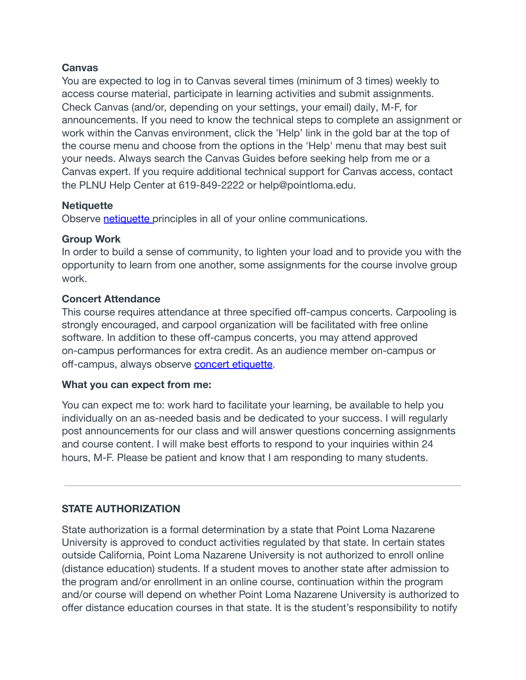#### **Canvas**

You are expected to log in to Canvas several times (minimum of 3 times) weekly to access course material, participate in learning activities and submit assignments. Check Canvas (and/or, depending on your settings, your email) daily, M-F, for announcements. If you need to know the technical steps to complete an assignment or work within the Canvas environment, click the 'Help' link in the gold bar at the top of the course menu and choose from the options in the 'Help' menu that may best suit your needs. Always search the Canvas Guides before seeking help from me or a Canvas expert. If you require additional technical support for Canvas access, contact the PLNU Help Center at 619-849-2222 or help@pointloma.edu.

#### **Netiquette**

Observe  [netiquette p](https://canvas.pointloma.edu/courses/55378/pages/netiquette)rinciples in all of your online communications.

## **Group Work**

In order to build a sense of community, to lighten your load and to provide you with the opportunity to learn from one another, some assignments for the course involve group work.

## **Concert Attendance**

This course requires attendance at three specified off-campus concerts. Carpooling is strongly encouraged, and carpool organization will be facilitated with free online software. In addition to these off-campus concerts, you may attend approved on-campus performances for extra credit. As an audience member on-campus or off-campus, always observe concert etiquette.

## **What you can expect from me:**

You can expect me to: work hard to facilitate your learning, be available to help you individually on an as-needed basis and be dedicated to your success. I will regularly post announcements for our class and will answer questions concerning assignments and course content. I will make best efforts to respond to your inquiries within 24 hours, M-F. Please be patient and know that I am responding to many students.

# **STATE AUTHORIZATION**

State authorization is a formal determination by a state that Point Loma Nazarene University is approved to conduct activities regulated by that state. In certain states outside California, Point Loma Nazarene University is not authorized to enroll online (distance education) students. If a student moves to another state after admission to the program and/or enrollment in an online course, continuation within the program and/or course will depend on whether Point Loma Nazarene University is authorized to offer distance education courses in that state. It is the student's responsibility to notify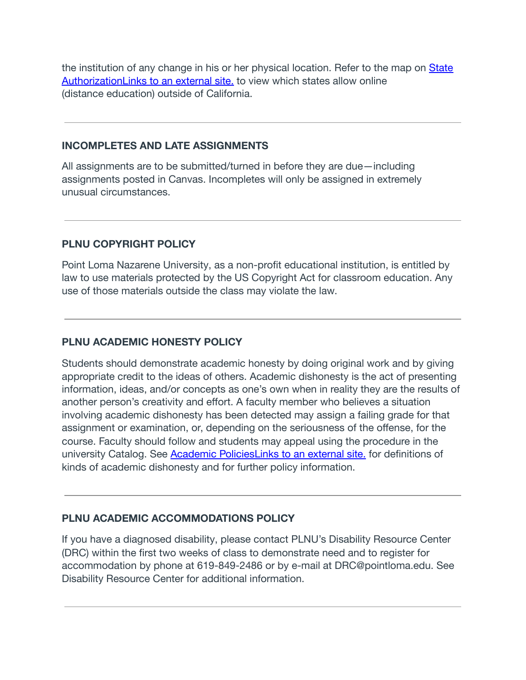the institution of any change in his or her physical location. Refer to the map on  [State](https://www.pointloma.edu/offices/office-institutional-effectiveness-research/disclosures)  [AuthorizationLinks to an external site.](https://www.pointloma.edu/offices/office-institutional-effectiveness-research/disclosures) to view which states allow online (distance education) outside of California.

#### **INCOMPLETES AND LATE ASSIGNMENTS**

All assignments are to be submitted/turned in before they are due—including assignments posted in Canvas. Incompletes will only be assigned in extremely unusual circumstances.

## **PLNU COPYRIGHT POLICY**

Point Loma Nazarene University, as a non-profit educational institution, is entitled by law to use materials protected by the US Copyright Act for classroom education. Any use of those materials outside the class may violate the law.

## **PLNU ACADEMIC HONESTY POLICY**

Students should demonstrate academic honesty by doing original work and by giving appropriate credit to the ideas of others. Academic dishonesty is the act of presenting information, ideas, and/or concepts as one's own when in reality they are the results of another person's creativity and effort. A faculty member who believes a situation involving academic dishonesty has been detected may assign a failing grade for that assignment or examination, or, depending on the seriousness of the offense, for the course. Faculty should follow and students may appeal using the procedure in the university Catalog. See  [Academic PoliciesLinks to an external site.](http://catalog.pointloma.edu/content.php?catoid=18&navoid=1278) for definitions of kinds of academic dishonesty and for further policy information.

## **PLNU ACADEMIC ACCOMMODATIONS POLICY**

If you have a diagnosed disability, please contact PLNU's Disability Resource Center (DRC) within the first two weeks of class to demonstrate need and to register for accommodation by phone at 619-849-2486 or by e-mail at DRC@pointloma.edu. See Disability Resource Center for additional information.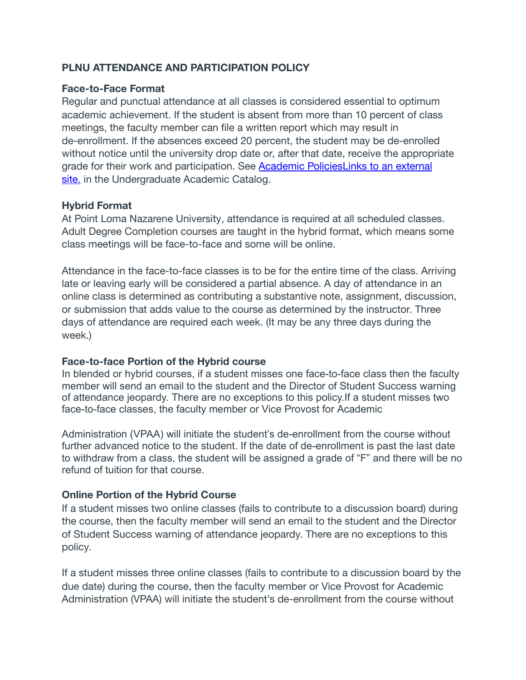## **PLNU ATTENDANCE AND PARTICIPATION POLICY**

#### **Face-to-Face Format**

Regular and punctual attendance at all classes is considered essential to optimum academic achievement. If the student is absent from more than 10 percent of class meetings, the faculty member can file a written report which may result in de-enrollment. If the absences exceed 20 percent, the student may be de-enrolled without notice until the university drop date or, after that date, receive the appropriate grade for their work and participation. See [Academic PoliciesLinks to an external](http://catalog.pointloma.edu/content.php?catoid=18&navoid=1278)  [site.](http://catalog.pointloma.edu/content.php?catoid=18&navoid=1278) in the Undergraduate Academic Catalog.

#### **Hybrid Format**

At Point Loma Nazarene University, attendance is required at all scheduled classes. Adult Degree Completion courses are taught in the hybrid format, which means some class meetings will be face-to-face and some will be online.

Attendance in the face-to-face classes is to be for the entire time of the class. Arriving late or leaving early will be considered a partial absence. A day of attendance in an online class is determined as contributing a substantive note, assignment, discussion, or submission that adds value to the course as determined by the instructor. Three days of attendance are required each week. (It may be any three days during the week.)

#### **Face-to-face Portion of the Hybrid course**

In blended or hybrid courses, if a student misses one face-to-face class then the faculty member will send an email to the student and the Director of Student Success warning of attendance jeopardy. There are no exceptions to this policy.If a student misses two face-to-face classes, the faculty member or Vice Provost for Academic

Administration (VPAA) will initiate the student's de-enrollment from the course without further advanced notice to the student. If the date of de-enrollment is past the last date to withdraw from a class, the student will be assigned a grade of "F" and there will be no refund of tuition for that course.

#### **Online Portion of the Hybrid Course**

If a student misses two online classes (fails to contribute to a discussion board) during the course, then the faculty member will send an email to the student and the Director of Student Success warning of attendance jeopardy. There are no exceptions to this policy.

If a student misses three online classes (fails to contribute to a discussion board by the due date) during the course, then the faculty member or Vice Provost for Academic Administration (VPAA) will initiate the student's de-enrollment from the course without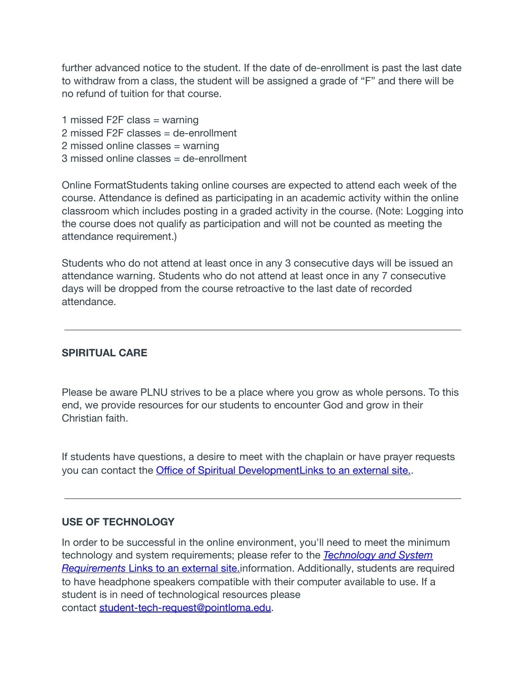further advanced notice to the student. If the date of de-enrollment is past the last date to withdraw from a class, the student will be assigned a grade of "F" and there will be no refund of tuition for that course.

1 missed F2F class = warning 2 missed F2F classes = de-enrollment 2 missed online classes = warning 3 missed online classes = de-enrollment

Online FormatStudents taking online courses are expected to attend each week of the course. Attendance is defined as participating in an academic activity within the online classroom which includes posting in a graded activity in the course. (Note: Logging into the course does not qualify as participation and will not be counted as meeting the attendance requirement.)

Students who do not attend at least once in any 3 consecutive days will be issued an attendance warning. Students who do not attend at least once in any 7 consecutive days will be dropped from the course retroactive to the last date of recorded attendance.

#### **SPIRITUAL CARE**

Please be aware PLNU strives to be a place where you grow as whole persons. To this end, we provide resources for our students to encounter God and grow in their Christian faith.

If students have questions, a desire to meet with the chaplain or have prayer requests you can contact the  [Office of Spiritual DevelopmentLinks to an external site.](https://www.pointloma.edu/offices/spiritual-development) .

#### **USE OF TECHNOLOGY**

In order to be successful in the online environment, you'll need to meet the minimum technology and system requirements; please refer to the *[Technology and System](https://help.pointloma.edu/TDClient/1808/Portal/KB/ArticleDet?ID=108349)*  **Requirements Links to an external site.** information. Additionally, students are required to have headphone speakers compatible with their computer available to use. If a student is in need of technological resources please contact  [student-tech-request@pointloma.edu .](mailto:student-tech-request@pointloma.edu)